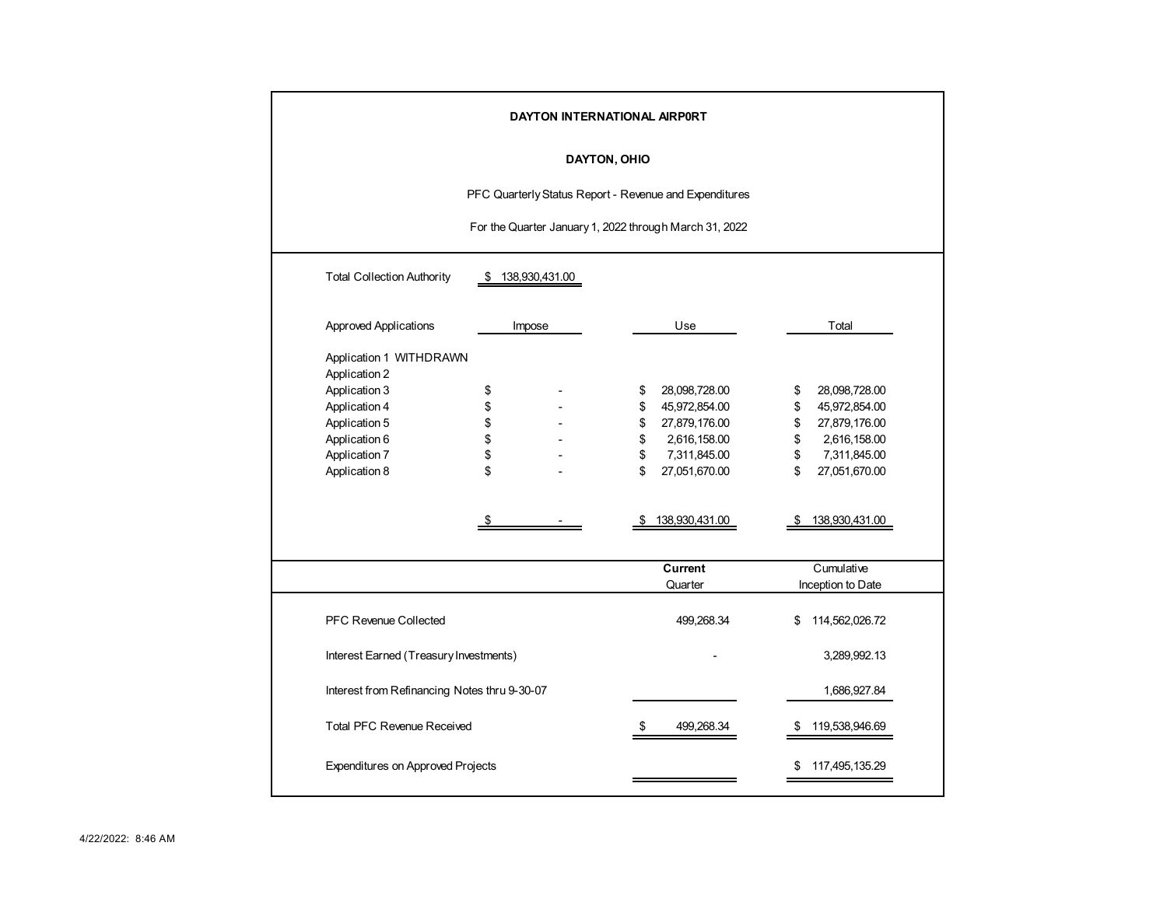| DAYTON INTERNATIONAL AIRPORT |                                                          |    |        |    |                |       |                   |  |  |  |  |  |  |  |
|------------------------------|----------------------------------------------------------|----|--------|----|----------------|-------|-------------------|--|--|--|--|--|--|--|
|                              | <b>DAYTON, OHIO</b>                                      |    |        |    |                |       |                   |  |  |  |  |  |  |  |
|                              | PFC Quarterly Status Report - Revenue and Expenditures   |    |        |    |                |       |                   |  |  |  |  |  |  |  |
|                              | For the Quarter January 1, 2022 through March 31, 2022   |    |        |    |                |       |                   |  |  |  |  |  |  |  |
|                              |                                                          |    |        |    |                |       |                   |  |  |  |  |  |  |  |
|                              | <b>Total Collection Authority</b><br>138,930,431.00<br>S |    |        |    |                |       |                   |  |  |  |  |  |  |  |
|                              | Approved Applications                                    |    | Impose |    | Use            | Total |                   |  |  |  |  |  |  |  |
|                              | Application 1 WITHDRAWN<br>Application 2                 |    |        |    |                |       |                   |  |  |  |  |  |  |  |
|                              | Application 3                                            | \$ |        | \$ | 28,098,728.00  | \$    | 28,098,728.00     |  |  |  |  |  |  |  |
|                              | Application 4                                            | \$ |        | \$ | 45,972,854.00  | \$    | 45,972,854.00     |  |  |  |  |  |  |  |
|                              | Application 5                                            | \$ |        | \$ | 27,879,176.00  | \$    | 27,879,176.00     |  |  |  |  |  |  |  |
|                              | Application 6                                            | \$ |        | \$ | 2,616,158.00   | \$    | 2,616,158.00      |  |  |  |  |  |  |  |
|                              | Application 7                                            | \$ |        | \$ | 7,311,845.00   | \$    | 7,311,845.00      |  |  |  |  |  |  |  |
|                              | Application 8                                            | \$ |        | \$ | 27,051,670.00  | \$    | 27,051,670.00     |  |  |  |  |  |  |  |
|                              |                                                          |    |        |    | 138,930,431.00 |       | 138,930,431.00    |  |  |  |  |  |  |  |
|                              |                                                          |    |        |    |                |       |                   |  |  |  |  |  |  |  |
|                              |                                                          |    |        |    | Current        |       | Cumulative        |  |  |  |  |  |  |  |
|                              |                                                          |    |        |    | Quarter        |       | Inception to Date |  |  |  |  |  |  |  |
|                              | PFC Revenue Collected                                    |    |        |    | 499,268.34     | \$    | 114,562,026.72    |  |  |  |  |  |  |  |
|                              | Interest Earned (Treasury Investments)                   |    |        |    |                |       | 3,289,992.13      |  |  |  |  |  |  |  |
|                              | Interest from Refinancing Notes thru 9-30-07             |    |        |    |                |       | 1,686,927.84      |  |  |  |  |  |  |  |
|                              | <b>Total PFC Revenue Received</b>                        |    |        | \$ | 499,268.34     | \$    | 119,538,946.69    |  |  |  |  |  |  |  |
|                              | <b>Expenditures on Approved Projects</b>                 |    |        |    |                | \$    | 117,495,135.29    |  |  |  |  |  |  |  |
|                              |                                                          |    |        |    |                |       |                   |  |  |  |  |  |  |  |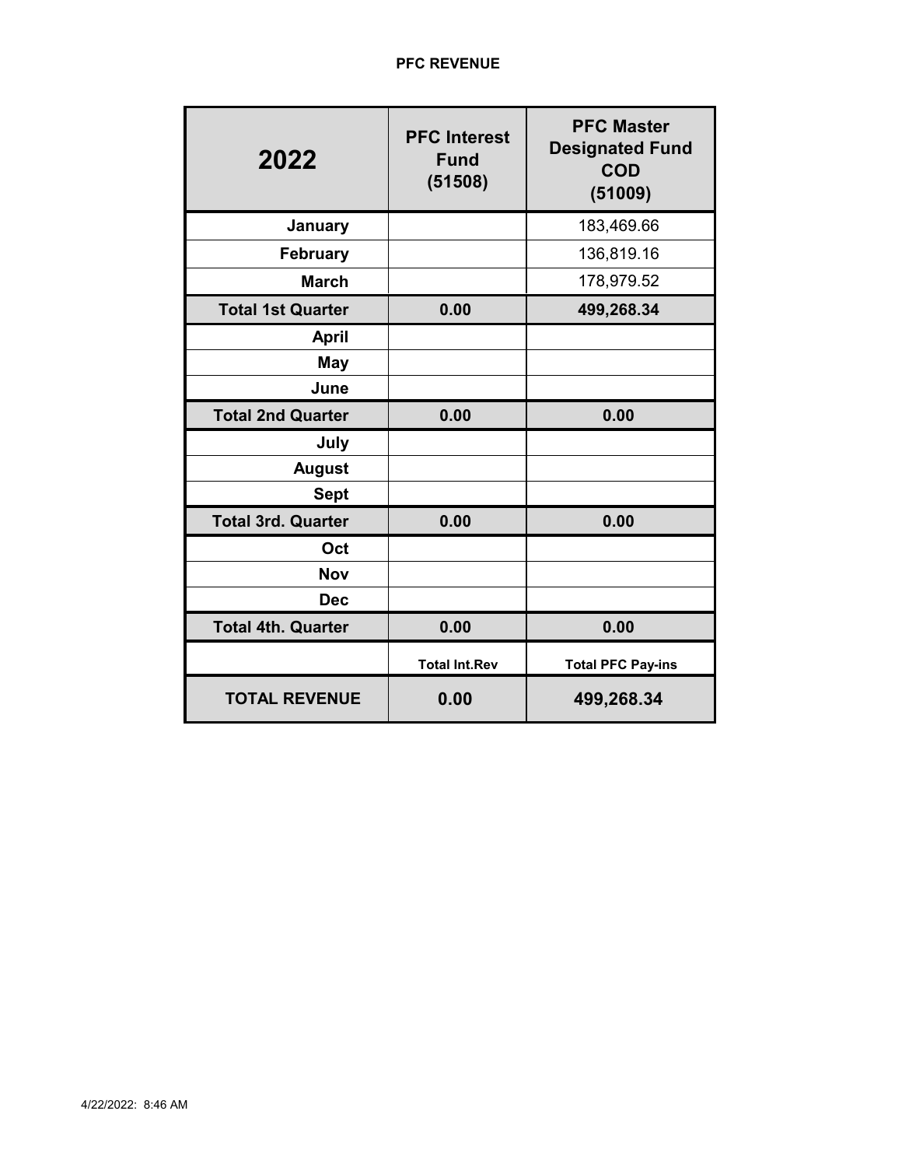| 2022                      | <b>PFC Interest</b><br><b>Fund</b><br>(51508) | <b>PFC Master</b><br><b>Designated Fund</b><br><b>COD</b><br>(51009) |
|---------------------------|-----------------------------------------------|----------------------------------------------------------------------|
| January                   |                                               | 183,469.66                                                           |
| <b>February</b>           |                                               | 136,819.16                                                           |
| <b>March</b>              |                                               | 178,979.52                                                           |
| <b>Total 1st Quarter</b>  | 0.00                                          | 499,268.34                                                           |
| <b>April</b>              |                                               |                                                                      |
| May                       |                                               |                                                                      |
| June                      |                                               |                                                                      |
| <b>Total 2nd Quarter</b>  | 0.00                                          | 0.00                                                                 |
| July                      |                                               |                                                                      |
| <b>August</b>             |                                               |                                                                      |
| <b>Sept</b>               |                                               |                                                                      |
| <b>Total 3rd. Quarter</b> | 0.00                                          | 0.00                                                                 |
| Oct                       |                                               |                                                                      |
| <b>Nov</b>                |                                               |                                                                      |
| <b>Dec</b>                |                                               |                                                                      |
| <b>Total 4th. Quarter</b> | 0.00                                          | 0.00                                                                 |
|                           | <b>Total Int.Rev</b>                          | <b>Total PFC Pay-ins</b>                                             |
| <b>TOTAL REVENUE</b>      | 0.00                                          | 499,268.34                                                           |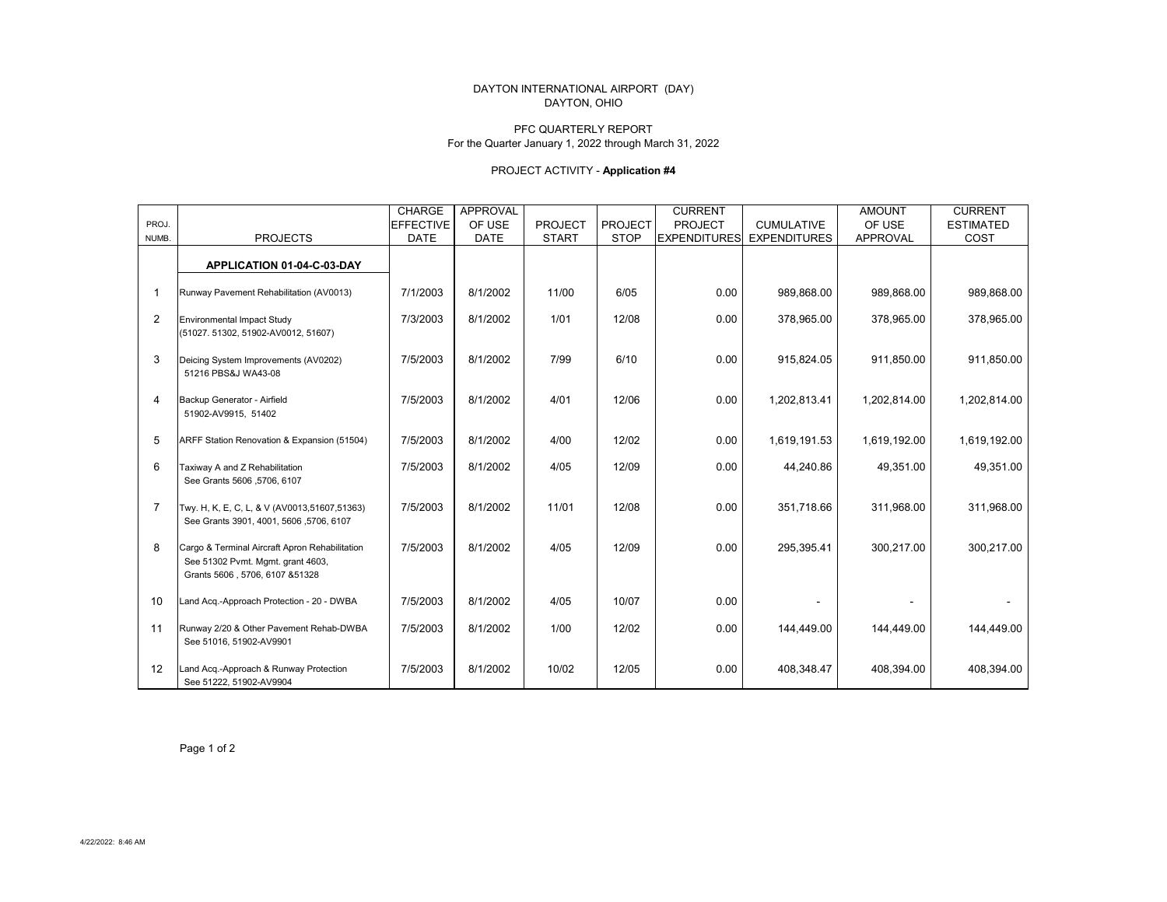### DAYTON INTERNATIONAL AIRPORT (DAY) DAYTON, OHIO

### PFC QUARTERLY REPORTFor the Quarter January 1, 2022 through March 31, 2022

# PROJECT ACTIVITY - **Application #4**

|                |                                                                                                                        | <b>CHARGE</b>    | <b>APPROVAL</b> |                |                | <b>CURRENT</b>      |                     | <b>AMOUNT</b>   | <b>CURRENT</b>   |
|----------------|------------------------------------------------------------------------------------------------------------------------|------------------|-----------------|----------------|----------------|---------------------|---------------------|-----------------|------------------|
| PROJ.          |                                                                                                                        | <b>EFFECTIVE</b> | OF USE          | <b>PROJECT</b> | <b>PROJECT</b> | <b>PROJECT</b>      | <b>CUMULATIVE</b>   | OF USE          | <b>ESTIMATED</b> |
| NUMB.          | <b>PROJECTS</b>                                                                                                        | <b>DATE</b>      | <b>DATE</b>     | <b>START</b>   | <b>STOP</b>    | <b>EXPENDITURES</b> | <b>EXPENDITURES</b> | <b>APPROVAL</b> | COST             |
|                | APPLICATION 01-04-C-03-DAY                                                                                             |                  |                 |                |                |                     |                     |                 |                  |
|                |                                                                                                                        |                  |                 |                |                |                     |                     |                 |                  |
| $\mathbf{1}$   | Runway Pavement Rehabilitation (AV0013)                                                                                | 7/1/2003         | 8/1/2002        | 11/00          | 6/05           | 0.00                | 989,868.00          | 989,868.00      | 989,868.00       |
| 2              | <b>Environmental Impact Study</b><br>(51027. 51302, 51902-AV0012, 51607)                                               | 7/3/2003         | 8/1/2002        | 1/01           | 12/08          | 0.00                | 378,965.00          | 378,965.00      | 378,965.00       |
| 3              | Deicing System Improvements (AV0202)<br>51216 PBS&J WA43-08                                                            | 7/5/2003         | 8/1/2002        | 7/99           | 6/10           | 0.00                | 915,824.05          | 911,850.00      | 911,850.00       |
| 4              | Backup Generator - Airfield<br>51902-AV9915, 51402                                                                     | 7/5/2003         | 8/1/2002        | 4/01           | 12/06          | 0.00                | 1,202,813.41        | 1,202,814.00    | 1,202,814.00     |
| 5              | ARFF Station Renovation & Expansion (51504)                                                                            | 7/5/2003         | 8/1/2002        | 4/00           | 12/02          | 0.00                | 1,619,191.53        | 1,619,192.00    | 1,619,192.00     |
| 6              | Taxiway A and Z Rehabilitation<br>See Grants 5606, 5706, 6107                                                          | 7/5/2003         | 8/1/2002        | 4/05           | 12/09          | 0.00                | 44,240.86           | 49,351.00       | 49,351.00        |
| $\overline{7}$ | Twy. H, K, E, C, L, & V (AV0013,51607,51363)<br>See Grants 3901, 4001, 5606, 5706, 6107                                | 7/5/2003         | 8/1/2002        | 11/01          | 12/08          | 0.00                | 351,718.66          | 311,968.00      | 311,968.00       |
| 8              | Cargo & Terminal Aircraft Apron Rehabilitation<br>See 51302 Pvmt. Mgmt. grant 4603,<br>Grants 5606, 5706, 6107 & 51328 | 7/5/2003         | 8/1/2002        | 4/05           | 12/09          | 0.00                | 295,395.41          | 300,217.00      | 300,217.00       |
| 10             | Land Acq.-Approach Protection - 20 - DWBA                                                                              | 7/5/2003         | 8/1/2002        | 4/05           | 10/07          | 0.00                |                     |                 |                  |
| 11             | Runway 2/20 & Other Pavement Rehab-DWBA<br>See 51016, 51902-AV9901                                                     | 7/5/2003         | 8/1/2002        | 1/00           | 12/02          | 0.00                | 144,449.00          | 144,449.00      | 144,449.00       |
| 12             | Land Acq.-Approach & Runway Protection<br>See 51222, 51902-AV9904                                                      | 7/5/2003         | 8/1/2002        | 10/02          | 12/05          | 0.00                | 408.348.47          | 408,394.00      | 408,394.00       |

Page 1 of 2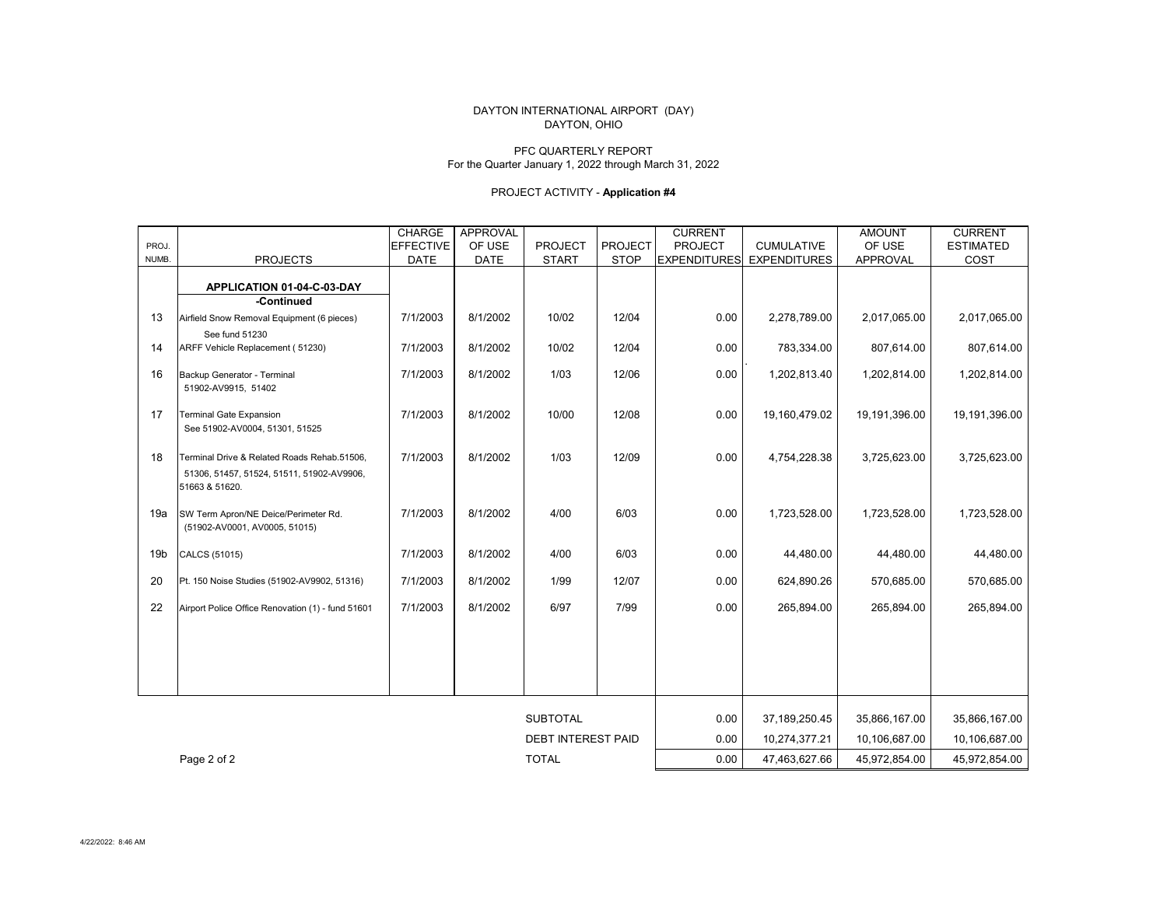### DAYTON, OHIO DAYTON INTERNATIONAL AIRPORT (DAY)

### PFC QUARTERLY REPORTFor the Quarter January 1, 2022 through March 31, 2022

# PROJECT ACTIVITY - **Application #4**

|                 |                                                             | <b>CHARGE</b>    | <b>APPROVAL</b>           |                 |                | <b>CURRENT</b>      |                     | <b>AMOUNT</b> | <b>CURRENT</b>   |
|-----------------|-------------------------------------------------------------|------------------|---------------------------|-----------------|----------------|---------------------|---------------------|---------------|------------------|
| PROJ.           |                                                             | <b>EFFECTIVE</b> | OF USE                    | PROJECT         | <b>PROJECT</b> | <b>PROJECT</b>      | <b>CUMULATIVE</b>   | OF USE        | <b>ESTIMATED</b> |
| NUMB.           | <b>PROJECTS</b>                                             | <b>DATE</b>      | <b>DATE</b>               | <b>START</b>    | <b>STOP</b>    | <b>EXPENDITURES</b> | <b>EXPENDITURES</b> | APPROVAL      | COST             |
|                 |                                                             |                  |                           |                 |                |                     |                     |               |                  |
|                 | APPLICATION 01-04-C-03-DAY                                  |                  |                           |                 |                |                     |                     |               |                  |
|                 | -Continued                                                  |                  |                           |                 |                |                     |                     |               |                  |
| 13              | Airfield Snow Removal Equipment (6 pieces)                  | 7/1/2003         | 8/1/2002                  | 10/02           | 12/04          | 0.00                | 2,278,789.00        | 2,017,065.00  | 2,017,065.00     |
|                 | See fund 51230                                              |                  |                           |                 |                |                     |                     |               |                  |
| 14              | ARFF Vehicle Replacement (51230)                            | 7/1/2003         | 8/1/2002                  | 10/02           | 12/04          | 0.00                | 783,334.00          | 807,614.00    | 807,614.00       |
| 16              | Backup Generator - Terminal                                 | 7/1/2003         | 8/1/2002                  | 1/03            | 12/06          | 0.00                | 1,202,813.40        | 1,202,814.00  | 1,202,814.00     |
|                 | 51902-AV9915, 51402                                         |                  |                           |                 |                |                     |                     |               |                  |
|                 |                                                             |                  |                           |                 |                |                     |                     |               |                  |
| 17              | <b>Terminal Gate Expansion</b>                              | 7/1/2003         | 8/1/2002                  | 10/00           | 12/08          | 0.00                | 19,160,479.02       | 19,191,396.00 | 19,191,396.00    |
|                 | See 51902-AV0004, 51301, 51525                              |                  |                           |                 |                |                     |                     |               |                  |
|                 |                                                             |                  |                           |                 |                |                     |                     |               |                  |
| 18              | Terminal Drive & Related Roads Rehab.51506,                 | 7/1/2003         | 8/1/2002                  | 1/03            | 12/09          | 0.00                | 4,754,228.38        | 3,725,623.00  | 3,725,623.00     |
|                 | 51306, 51457, 51524, 51511, 51902-AV9906,<br>51663 & 51620. |                  |                           |                 |                |                     |                     |               |                  |
|                 |                                                             |                  |                           |                 |                |                     |                     |               |                  |
| 19a             | SW Term Apron/NE Deice/Perimeter Rd.                        | 7/1/2003         | 8/1/2002                  | 4/00            | 6/03           | 0.00                | 1,723,528.00        | 1,723,528.00  | 1,723,528.00     |
|                 | (51902-AV0001, AV0005, 51015)                               |                  |                           |                 |                |                     |                     |               |                  |
|                 |                                                             |                  |                           |                 |                |                     |                     |               |                  |
| 19 <sub>b</sub> | CALCS (51015)                                               | 7/1/2003         | 8/1/2002                  | 4/00            | 6/03           | 0.00                | 44,480.00           | 44,480.00     | 44,480.00        |
| 20              | Pt. 150 Noise Studies (51902-AV9902, 51316)                 | 7/1/2003         | 8/1/2002                  | 1/99            | 12/07          | 0.00                | 624,890.26          | 570,685.00    | 570,685.00       |
|                 |                                                             |                  |                           |                 |                |                     |                     |               |                  |
| 22              | Airport Police Office Renovation (1) - fund 51601           | 7/1/2003         | 8/1/2002                  | 6/97            | 7/99           | 0.00                | 265,894.00          | 265,894.00    | 265,894.00       |
|                 |                                                             |                  |                           |                 |                |                     |                     |               |                  |
|                 |                                                             |                  |                           |                 |                |                     |                     |               |                  |
|                 |                                                             |                  |                           |                 |                |                     |                     |               |                  |
|                 |                                                             |                  |                           |                 |                |                     |                     |               |                  |
|                 |                                                             |                  |                           |                 |                |                     |                     |               |                  |
|                 |                                                             |                  |                           |                 |                |                     |                     |               |                  |
|                 |                                                             |                  |                           | <b>SUBTOTAL</b> |                | 0.00                | 37,189,250.45       | 35,866,167.00 | 35,866,167.00    |
|                 |                                                             |                  | <b>DEBT INTEREST PAID</b> |                 | 0.00           | 10,274,377.21       | 10,106,687.00       | 10,106,687.00 |                  |
|                 | Page 2 of 2                                                 | <b>TOTAL</b>     |                           |                 |                | 0.00                | 47,463,627.66       | 45,972,854.00 | 45,972,854.00    |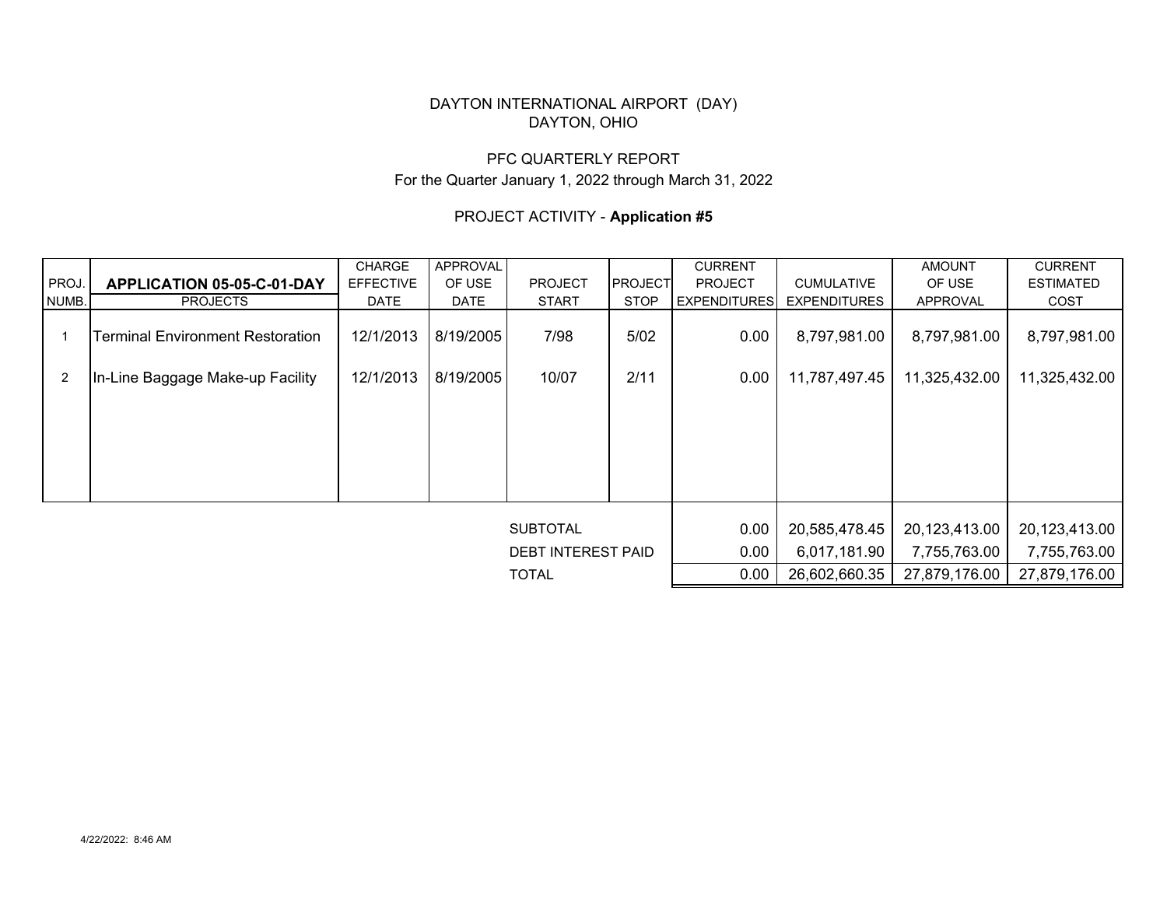# DAYTON INTERNATIONAL AIRPORT (DAY) DAYTON, OHIO

# PFC QUARTERLY REPORTFor the Quarter January 1, 2022 through March 31, 2022

# PROJECT ACTIVITY - **Application #5**

|                           |                                         | <b>CHARGE</b>    | <b>APPROVAL</b> |                 |                | <b>CURRENT</b>       |                     | <b>AMOUNT</b> | <b>CURRENT</b>   |  |
|---------------------------|-----------------------------------------|------------------|-----------------|-----------------|----------------|----------------------|---------------------|---------------|------------------|--|
| PROJ.                     | APPLICATION 05-05-C-01-DAY              | <b>EFFECTIVE</b> | OF USE          | <b>PROJECT</b>  | <b>PROJECT</b> | <b>PROJECT</b>       | <b>CUMULATIVE</b>   | OF USE        | <b>ESTIMATED</b> |  |
| NUMB.                     | <b>PROJECTS</b>                         | <b>DATE</b>      | <b>DATE</b>     | <b>START</b>    | <b>STOP</b>    | <b>EXPENDITURES</b>  | <b>EXPENDITURES</b> | APPROVAL      | COST             |  |
|                           | <b>Terminal Environment Restoration</b> | 12/1/2013        | 8/19/2005       | 7/98            | 5/02           | 0.00<br>8,797,981.00 |                     | 8,797,981.00  | 8,797,981.00     |  |
| $\overline{2}$            | In-Line Baggage Make-up Facility        | 12/1/2013        | 8/19/2005       | 10/07           | 2/11           | 0.00                 | 11,787,497.45       | 11,325,432.00 | 11,325,432.00    |  |
|                           |                                         |                  |                 |                 |                |                      |                     |               |                  |  |
|                           |                                         |                  |                 |                 |                |                      |                     |               |                  |  |
|                           |                                         |                  |                 |                 |                |                      |                     |               |                  |  |
|                           |                                         |                  |                 | <b>SUBTOTAL</b> |                | 0.00                 | 20,585,478.45       | 20,123,413.00 | 20,123,413.00    |  |
| <b>DEBT INTEREST PAID</b> |                                         |                  |                 |                 |                | 0.00                 | 6,017,181.90        | 7,755,763.00  | 7,755,763.00     |  |
|                           | <b>TOTAL</b>                            |                  |                 |                 |                |                      | 26,602,660.35       | 27,879,176.00 | 27,879,176.00    |  |